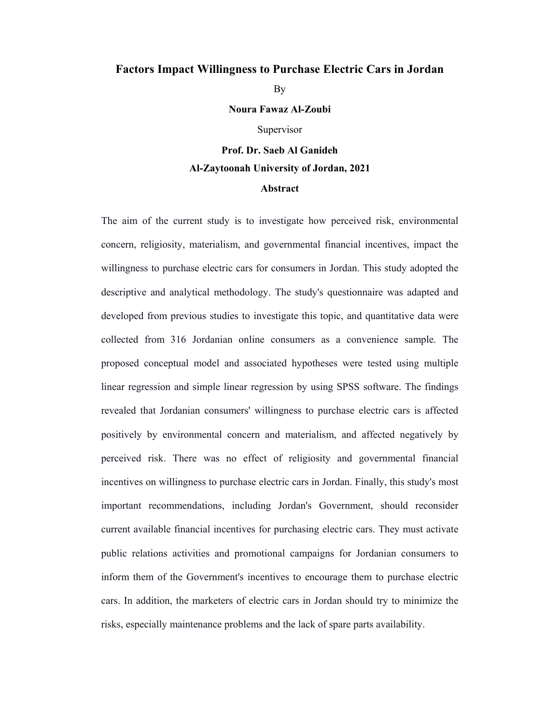## **Factors Impact Willingness to Purchase Electric Cars in Jordan**

By

**Noura Fawaz Al-Zoubi** 

Supervisor

**Prof. Dr. Saeb Al Ganideh Al-Zaytoonah University of Jordan, 2021** 

## **Abstract**

The aim of the current study is to investigate how perceived risk, environmental concern, religiosity, materialism, and governmental financial incentives, impact the willingness to purchase electric cars for consumers in Jordan. This study adopted the descriptive and analytical methodology. The study's questionnaire was adapted and developed from previous studies to investigate this topic, and quantitative data were collected from 316 Jordanian online consumers as a convenience sample. The proposed conceptual model and associated hypotheses were tested using multiple linear regression and simple linear regression by using SPSS software. The findings revealed that Jordanian consumers' willingness to purchase electric cars is affected positively by environmental concern and materialism, and affected negatively by perceived risk. There was no effect of religiosity and governmental financial incentives on willingness to purchase electric cars in Jordan. Finally, this study's most important recommendations, including Jordan's Government, should reconsider current available financial incentives for purchasing electric cars. They must activate public relations activities and promotional campaigns for Jordanian consumers to inform them of the Government's incentives to encourage them to purchase electric cars. In addition, the marketers of electric cars in Jordan should try to minimize the risks, especially maintenance problems and the lack of spare parts availability.